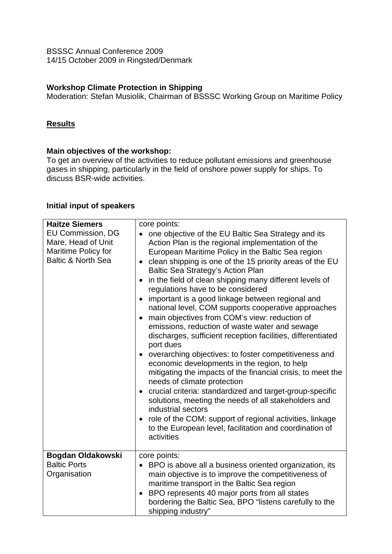BSSSC Annual Conference 2009 14/15 October 2009 in Ringsted/Denmark

### **Workshop Climate Protection in Shipping**

Moderation: Stefan Musiolik, Chairman of BSSSC Working Group on Maritime Policy

## **Results**

#### **Main objectives of the workshop:**

To get an overview of the activities to reduce pollutant emissions and greenhouse gases in shipping, particularly in the field of onshore power supply for ships. To discuss BSR-wide activities.

#### **Initial input of speakers**

| <b>Haitze Siemers</b><br><b>EU Commission, DG</b><br>Mare, Head of Unit<br>Maritime Policy for<br><b>Baltic &amp; North Sea</b> | core points:<br>• one objective of the EU Baltic Sea Strategy and its<br>Action Plan is the regional implementation of the<br>European Maritime Policy in the Baltic Sea region<br>• clean shipping is one of the 15 priority areas of the EU<br>Baltic Sea Strategy's Action Plan<br>in the field of clean shipping many different levels of<br>$\bullet$<br>regulations have to be considered<br>important is a good linkage between regional and<br>national level, COM supports cooperative approaches<br>main objectives from COM's view: reduction of<br>emissions, reduction of waste water and sewage<br>discharges, sufficient reception facilities, differentiated<br>port dues<br>overarching objectives: to foster competitiveness and<br>economic developments in the region, to help<br>mitigating the impacts of the financial crisis, to meet the<br>needs of climate protection<br>crucial criteria: standardized and target-group-specific<br>solutions, meeting the needs of all stakeholders and<br>industrial sectors<br>role of the COM: support of regional activities, linkage |
|---------------------------------------------------------------------------------------------------------------------------------|--------------------------------------------------------------------------------------------------------------------------------------------------------------------------------------------------------------------------------------------------------------------------------------------------------------------------------------------------------------------------------------------------------------------------------------------------------------------------------------------------------------------------------------------------------------------------------------------------------------------------------------------------------------------------------------------------------------------------------------------------------------------------------------------------------------------------------------------------------------------------------------------------------------------------------------------------------------------------------------------------------------------------------------------------------------------------------------------------------|
|                                                                                                                                 | to the European level, facilitation and coordination of<br>activities                                                                                                                                                                                                                                                                                                                                                                                                                                                                                                                                                                                                                                                                                                                                                                                                                                                                                                                                                                                                                                  |
| <b>Bogdan Oldakowski</b>                                                                                                        | core points:                                                                                                                                                                                                                                                                                                                                                                                                                                                                                                                                                                                                                                                                                                                                                                                                                                                                                                                                                                                                                                                                                           |
| <b>Baltic Ports</b><br>Organisation                                                                                             | BPO is above all a business oriented organization, its<br>$\bullet$<br>main objective is to improve the competitiveness of<br>maritime transport in the Baltic Sea region<br>BPO represents 40 major ports from all states<br>$\bullet$<br>bordering the Baltic Sea, BPO "listens carefully to the<br>shipping industry"                                                                                                                                                                                                                                                                                                                                                                                                                                                                                                                                                                                                                                                                                                                                                                               |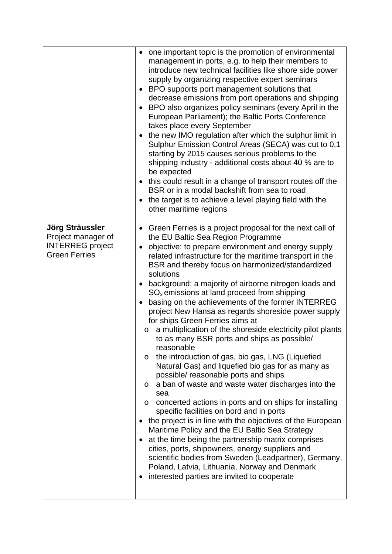|                                                                                          | • one important topic is the promotion of environmental<br>management in ports, e.g. to help their members to<br>introduce new technical facilities like shore side power<br>supply by organizing respective expert seminars<br>BPO supports port management solutions that<br>decrease emissions from port operations and shipping<br>BPO also organizes policy seminars (every April in the<br>European Parliament); the Baltic Ports Conference<br>takes place every September<br>the new IMO regulation after which the sulphur limit in<br>Sulphur Emission Control Areas (SECA) was cut to 0,1<br>starting by 2015 causes serious problems to the<br>shipping industry - additional costs about 40 % are to<br>be expected<br>• this could result in a change of transport routes off the<br>BSR or in a modal backshift from sea to road<br>the target is to achieve a level playing field with the<br>other maritime regions                                                                                                                                                                                                                                                                                                                                                                                                                                                                                         |
|------------------------------------------------------------------------------------------|------------------------------------------------------------------------------------------------------------------------------------------------------------------------------------------------------------------------------------------------------------------------------------------------------------------------------------------------------------------------------------------------------------------------------------------------------------------------------------------------------------------------------------------------------------------------------------------------------------------------------------------------------------------------------------------------------------------------------------------------------------------------------------------------------------------------------------------------------------------------------------------------------------------------------------------------------------------------------------------------------------------------------------------------------------------------------------------------------------------------------------------------------------------------------------------------------------------------------------------------------------------------------------------------------------------------------------------------------------------------------------------------------------------------------|
| Jörg Sträussler<br>Project manager of<br><b>INTERREG</b> project<br><b>Green Ferries</b> | • Green Ferries is a project proposal for the next call of<br>the EU Baltic Sea Region Programme<br>objective: to prepare environment and energy supply<br>related infrastructure for the maritime transport in the<br>BSR and thereby focus on harmonized/standardized<br>solutions<br>background: a majority of airborne nitrogen loads and<br>$SOx$ emissions at land proceed from shipping<br>basing on the achievements of the former INTERREG<br>project New Hansa as regards shoreside power supply<br>for ships Green Ferries aims at<br>a multiplication of the shoreside electricity pilot plants<br>$\circ$<br>to as many BSR ports and ships as possible/<br>reasonable<br>the introduction of gas, bio gas, LNG (Liquefied<br>$\circ$<br>Natural Gas) and liquefied bio gas for as many as<br>possible/ reasonable ports and ships<br>a ban of waste and waste water discharges into the<br>$\circ$<br>sea<br>concerted actions in ports and on ships for installing<br>$\circ$<br>specific facilities on bord and in ports<br>• the project is in line with the objectives of the European<br>Maritime Policy and the EU Baltic Sea Strategy<br>at the time being the partnership matrix comprises<br>cities, ports, shipowners, energy suppliers and<br>scientific bodies from Sweden (Leadpartner), Germany,<br>Poland, Latvia, Lithuania, Norway and Denmark<br>interested parties are invited to cooperate |